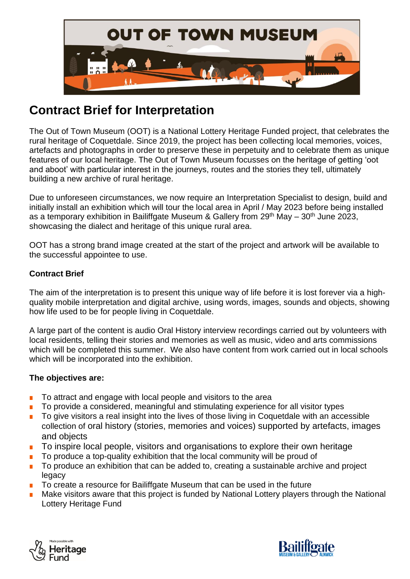

# **Contract Brief for Interpretation**

The Out of Town Museum (OOT) is a National Lottery Heritage Funded project, that celebrates the rural heritage of Coquetdale. Since 2019, the project has been collecting local memories, voices, artefacts and photographs in order to preserve these in perpetuity and to celebrate them as unique features of our local heritage. The Out of Town Museum focusses on the heritage of getting 'oot and aboot' with particular interest in the journeys, routes and the stories they tell, ultimately building a new archive of rural heritage.

Due to unforeseen circumstances, we now require an Interpretation Specialist to design, build and initially install an exhibition which will tour the local area in April / May 2023 before being installed as a temporary exhibition in Bailiffgate Museum & Gallery from  $29<sup>th</sup>$  May –  $30<sup>th</sup>$  June 2023, showcasing the dialect and heritage of this unique rural area.

OOT has a strong brand image created at the start of the project and artwork will be available to the successful appointee to use.

# **Contract Brief**

The aim of the interpretation is to present this unique way of life before it is lost forever via a highquality mobile interpretation and digital archive, using words, images, sounds and objects, showing how life used to be for people living in Coquetdale.

A large part of the content is audio Oral History interview recordings carried out by volunteers with local residents, telling their stories and memories as well as music, video and arts commissions which will be completed this summer. We also have content from work carried out in local schools which will be incorporated into the exhibition.

## **The objectives are:**

- To attract and engage with local people and visitors to the area
- To provide a considered, meaningful and stimulating experience for all visitor types
- To give visitors a real insight into the lives of those living in Coquetdale with an accessible collection of oral history (stories, memories and voices) supported by artefacts, images and objects
- To inspire local people, visitors and organisations to explore their own heritage
- To produce a top-quality exhibition that the local community will be proud of
- To produce an exhibition that can be added to, creating a sustainable archive and project legacy
- To create a resource for Bailiffgate Museum that can be used in the future
- Make visitors aware that this project is funded by National Lottery players through the National Lottery Heritage Fund



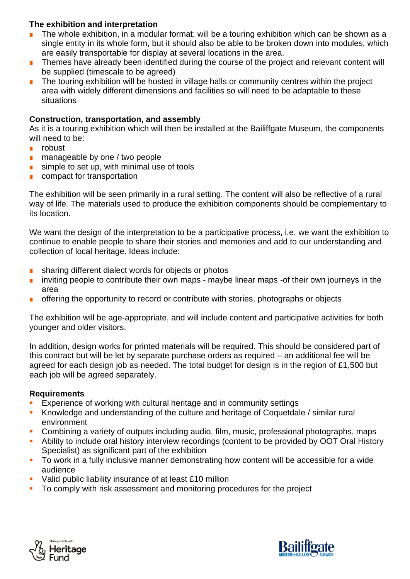# **The exhibition and interpretation**

- The whole exhibition, in a modular format; will be a touring exhibition which can be shown as a single entity in its whole form, but it should also be able to be broken down into modules, which are easily transportable for display at several locations in the area.
- Themes have already been identified during the course of the project and relevant content will be supplied (timescale to be agreed)
- The touring exhibition will be hosted in village halls or community centres within the project area with widely different dimensions and facilities so will need to be adaptable to these situations

#### **Construction, transportation, and assembly**

As it is a touring exhibition which will then be installed at the Bailiffgate Museum, the components will need to be:

- robust
- manageable by one / two people
- simple to set up, with minimal use of tools
- compact for transportation

The exhibition will be seen primarily in a rural setting. The content will also be reflective of a rural way of life. The materials used to produce the exhibition components should be complementary to its location.

We want the design of the interpretation to be a participative process, i.e. we want the exhibition to continue to enable people to share their stories and memories and add to our understanding and collection of local heritage. Ideas include:

- sharing different dialect words for objects or photos
- inviting people to contribute their own maps maybe linear maps -of their own journeys in the area
- offering the opportunity to record or contribute with stories, photographs or objects

The exhibition will be age-appropriate, and will include content and participative activities for both younger and older visitors.

In addition, design works for printed materials will be required. This should be considered part of this contract but will be let by separate purchase orders as required – an additional fee will be agreed for each design job as needed. The total budget for design is in the region of £1,500 but each job will be agreed separately.

## **Requirements**

- Experience of working with cultural heritage and in community settings
- **EXPLOMED And SET And Controller Standing of the culture and heritage of Coquetdale / similar rural** environment
- Combining a variety of outputs including audio, film, music, professional photographs, maps
- **E** Ability to include oral history interview recordings (content to be provided by OOT Oral History Specialist) as significant part of the exhibition
- **•** To work in a fully inclusive manner demonstrating how content will be accessible for a wide audience
- Valid public liability insurance of at least £10 million
- **•** To comply with risk assessment and monitoring procedures for the project